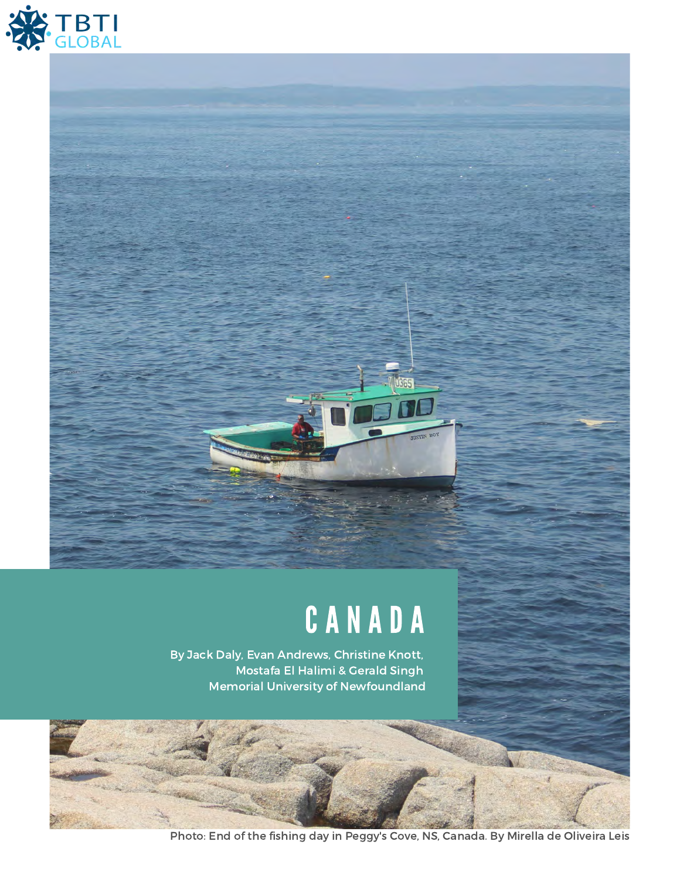

# C A N A D A

By Jack Daly, Evan Andrews, Christine Knott, Mostafa El Halimi & Gerald Singh Memorial University of Newfoundland

Photo: End of the fishing day in Peggy's Cove, NS, Canada. By Mirella de Oliveira Leis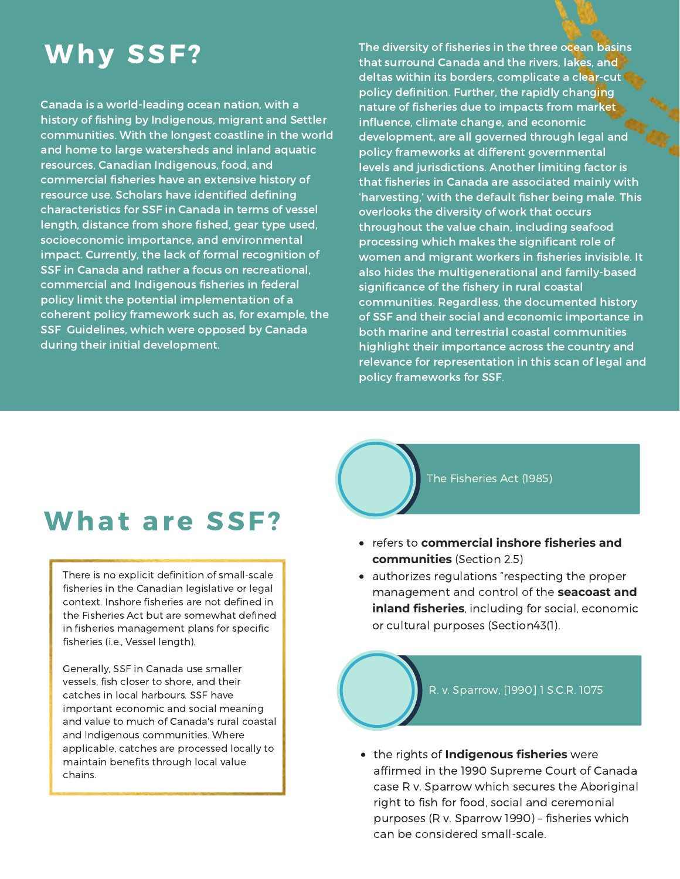## **Why SSF?**

Canada is a world-leading ocean nation, with a history of fishing by Indigenous, migrant and Settler communities. With the longest coastline in the world and home to large watersheds and inland aquatic resources, Canadian Indigenous, food, and commercial fisheries have an extensive history of resource use. Scholars have identified defining characteristics for SSF in Canada in terms of vessel length, distance from shore fished, gear type used, socioeconomic importance, and environmental impact. Currently, the lack of formal recognition of SSF in Canada and rather a focus on recreational, commercial and Indigenous fisheries in federal policy limit the potential implementation of a coherent policy framework such as, for example, the SSF Guidelines, which were opposed by Canada during their initial development.

The diversity of fisheries in the three ocean basins that surround Canada and the rivers, lakes, and deltas within its borders, complicate a clear-cut policy definition. Further, the rapidly changing nature of fisheries due to impacts from market influence, climate change, and economic development, are all governed through legal and policy frameworks at different governmental levels and jurisdictions. Another limiting factor is that fisheries in Canada are associated mainly with 'harvesting,' with the default fisher being male. This overlooks the diversity of work that occurs throughout the value chain, including seafood processing which makes the significant role of women and migrant workers in fisheries invisible. It also hides the multigenerational and family-based significance of the fishery in rural coastal communities. Regardless, the documented history of SSF and their social and economic importance in both marine and terrestrial coastal communities highlight their importance across the country and relevance for representation in this scan of legal and policy frameworks for SSF.

### What are SSF?

There is no explicit definition of small-scale fisheries in the Canadian legislative or legal context. Inshore fisheries are not defined in the Fisheries Act but are somewhat defined in fisheries management plans for specific fisheries (i.e., Vessel length).

Generally, SSF in Canada use smaller vessels, fish closer to shore, and their catches in local harbours. SSF have important economic and social meaning and value to much of Canada's rural coastal and Indigenous communities. Where applicable, catches are processed locally to maintain benefits through local value chains.

The Fisheries Act (1985)

- refers to **commercial inshore fisheries and communities** (Section 2.5)
- authorizes regulations "respecting the proper management and control of the **seacoast and inland fisheries**, including for social, economic or cultural purposes (Section43(1).



the rights of **Indigenous fisheries** were affirmed in the 1990 Supreme Court of Canada case R v. Sparrow which secures the Aboriginal right to fish for food, social and ceremonial purposes (R v. Sparrow 1990) – fisheries which can be considered small-scale.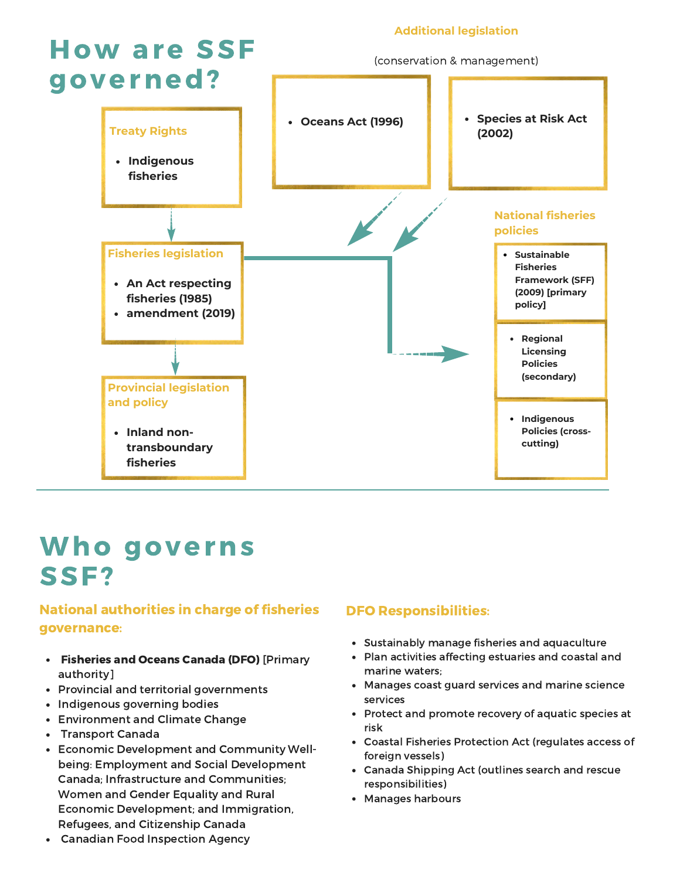

### Who governs SSF?

#### National authorities in charge of fisheries governance:

- Fisheries and Oceans Canada (DFO) [Primary authority]
- Provincial and territorial governments
- Indigenous governing bodies
- Environment and Climate Change
- Transport Canada
- Economic Development and Community Wellbeing: Employment and Social Development Canada; Infrastructure and Communities; Women and Gender Equality and Rural Economic Development; and Immigration, Refugees, and Citizenship Canada

#### DFO Responsibilities:

- Sustainably manage fisheries and aquaculture
- Plan activities affecting estuaries and coastal and marine waters;
- Manages coast guard services and marine science services
- Protect and promote recovery of aquatic species at risk
- Coastal Fisheries Protection Act (regulates access of foreign vessels)
- Canada Shipping Act (outlines search and rescue responsibilities)
- Manages harbours

Canadian Food Inspection Agency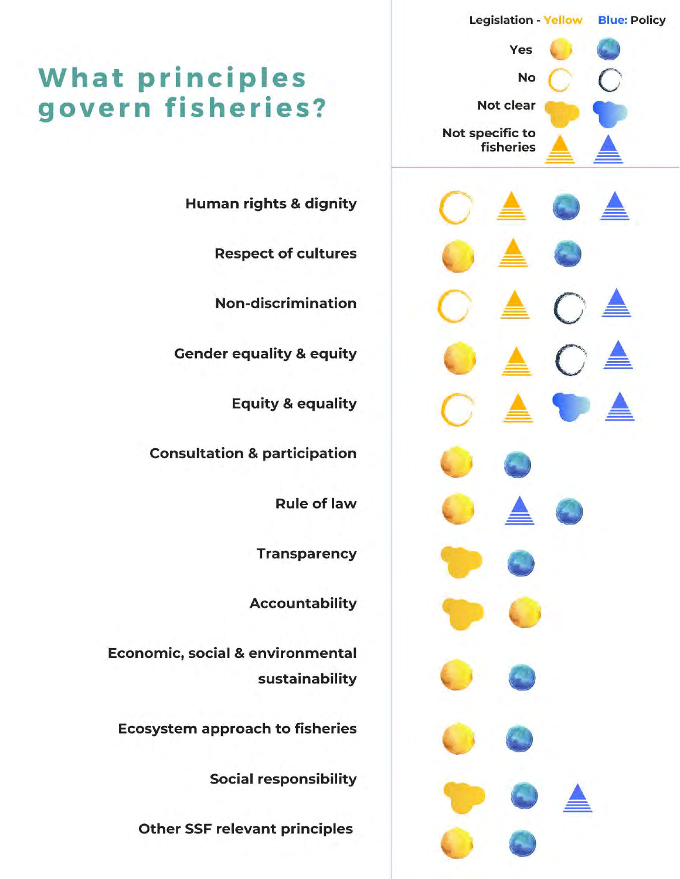

### **What principles** govern fisheries?

**Human rights & dignity** 

**Respect of cultures** 

**Non-discrimination** 

**Gender equality & equity** 

**Equity & equality** 

**Consultation & participation** 

**Rule of law** 

**Transparency** 

**Accountability** 

**Economic, social & environmental** sustainability

**Ecosystem approach to fisheries** 

**Social responsibility** 

**Other SSF relevant principles**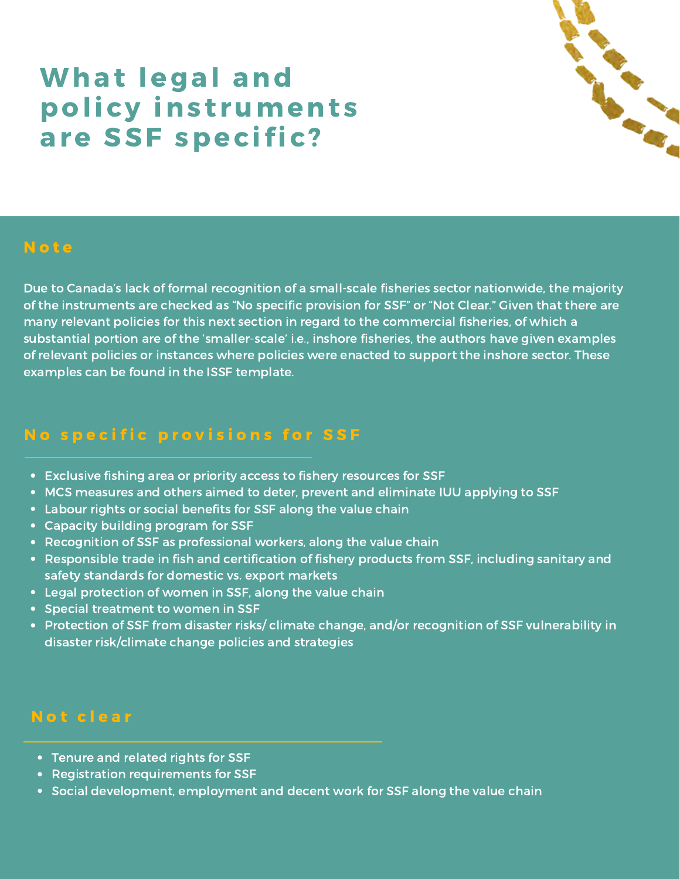### What legal and policy instruments are SSF specific?



### **Note**

Due to Canada's lack of formal recognition of a small-scale fisheries sector nationwide, the majority of the instruments are checked as "No specific provision for SSF" or "Not Clear." Given that there are many relevant policies for this next section in regard to the commercial fisheries, of which a substantial portion are of the 'smaller-scale' i.e., inshore fisheries, the authors have given examples of relevant policies or instances where policies were enacted to support the inshore sector. These examples can be found in the ISSF template.

### No specific provisions for SSF

- Exclusive fishing area or priority access to fishery resources for SSF
- MCS measures and others aimed to deter, prevent and eliminate IUU applying to SSF
- Labour rights or social benefits for SSF along the value chain
- Capacity building program for SSF
- Recognition of SSF as professional workers, along the value chain
- Responsible trade in fish and certification of fishery products from SSF, including sanitary and safety standards for domestic vs. export markets
- Legal protection of women in SSF, along the value chain
- Special treatment to women in SSF
- Protection of SSF from disaster risks/ climate change, and/or recognition of SSF vulnerability in disaster risk/climate change policies and strategies

#### Not clear

- Tenure and related rights for SSF
- Registration requirements for SSF
- Social development, employment and decent work for SSF along the value chain